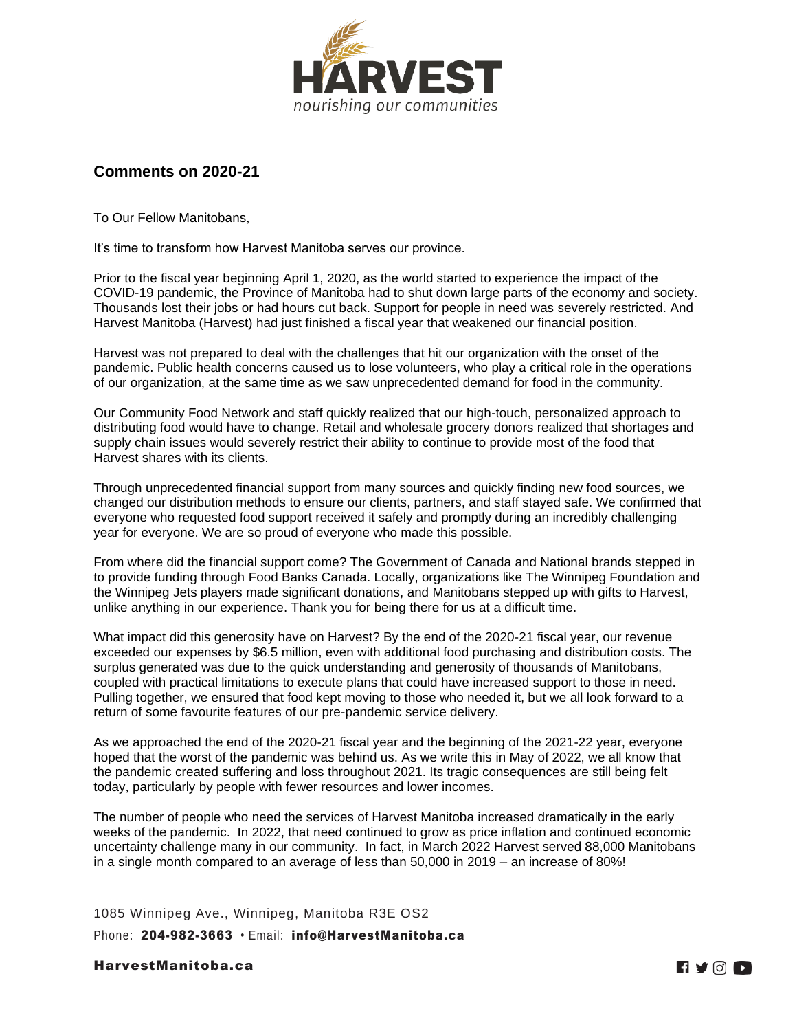

## **Comments on 2020-21**

To Our Fellow Manitobans,

It's time to transform how Harvest Manitoba serves our province.

Prior to the fiscal year beginning April 1, 2020, as the world started to experience the impact of the COVID-19 pandemic, the Province of Manitoba had to shut down large parts of the economy and society. Thousands lost their jobs or had hours cut back. Support for people in need was severely restricted. And Harvest Manitoba (Harvest) had just finished a fiscal year that weakened our financial position.

Harvest was not prepared to deal with the challenges that hit our organization with the onset of the pandemic. Public health concerns caused us to lose volunteers, who play a critical role in the operations of our organization, at the same time as we saw unprecedented demand for food in the community*.*

Our Community Food Network and staff quickly realized that our high-touch, personalized approach to distributing food would have to change. Retail and wholesale grocery donors realized that shortages and supply chain issues would severely restrict their ability to continue to provide most of the food that Harvest shares with its clients.

Through unprecedented financial support from many sources and quickly finding new food sources, we changed our distribution methods to ensure our clients, partners, and staff stayed safe. We confirmed that everyone who requested food support received it safely and promptly during an incredibly challenging year for everyone. We are so proud of everyone who made this possible.

From where did the financial support come? The Government of Canada and National brands stepped in to provide funding through Food Banks Canada. Locally, organizations like The Winnipeg Foundation and the Winnipeg Jets players made significant donations, and Manitobans stepped up with gifts to Harvest, unlike anything in our experience. Thank you for being there for us at a difficult time.

What impact did this generosity have on Harvest? By the end of the 2020-21 fiscal year, our revenue exceeded our expenses by \$6.5 million, even with additional food purchasing and distribution costs. The surplus generated was due to the quick understanding and generosity of thousands of Manitobans, coupled with practical limitations to execute plans that could have increased support to those in need. Pulling together, we ensured that food kept moving to those who needed it, but we all look forward to a return of some favourite features of our pre-pandemic service delivery.

As we approached the end of the 2020-21 fiscal year and the beginning of the 2021-22 year, everyone hoped that the worst of the pandemic was behind us. As we write this in May of 2022, we all know that the pandemic created suffering and loss throughout 2021. Its tragic consequences are still being felt today, particularly by people with fewer resources and lower incomes.

The number of people who need the services of Harvest Manitoba increased dramatically in the early weeks of the pandemic. In 2022, that need continued to grow as price inflation and continued economic uncertainty challenge many in our community. In fact, in March 2022 Harvest served 88,000 Manitobans in a single month compared to an average of less than 50,000 in 2019 – an increase of 80%!

1085 Winnipeg Ave., Winnipeg, Manitoba R3E OS2 Phone: 204-982-3663 · Email: [info@HarvestManitoba.ca](mailto:info@HarvestManitoba.ca)

HarvestManitoba.ca